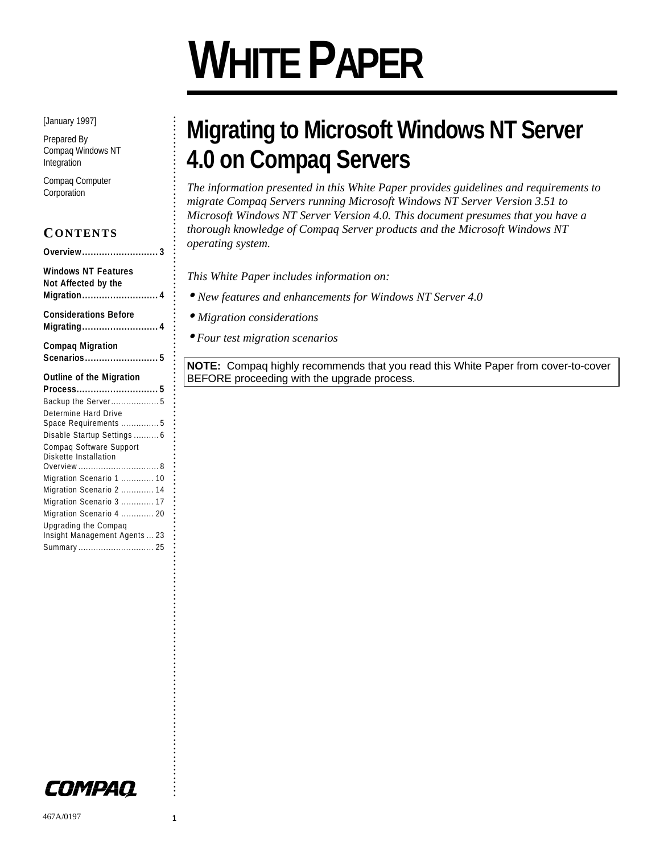# **WHITE PAPER**

[January 1997]

Prepared By Compaq Windows NT Integration

. . . . . . . . . . . . . . . . . . . . . . . . . . . . . . . . . . . . . . . . . . . . . . . . . . . . . . . . . . . . . . . . . . . . . . . . . . . . . . . . . . . . . . . . . . . . . . . . . . . . . . . . . . . . . . . . . . . . . . . . . . . . . . . . . . . . . . . . . . . . . . . . . . . . . . . . . . . . . . . .

Compaq Computer Corporation

| CONTENTS                                                         |
|------------------------------------------------------------------|
| Overview3                                                        |
| <b>Windows NT Features</b><br>Not Affected by the<br>Migration 4 |
| <b>Considerations Before</b><br>Migrating 4                      |
| <b>Compaq Migration</b><br>Scenarios 5                           |
|                                                                  |
| <b>Outline of the Migration</b>                                  |
| Process5                                                         |
| Backup the Server 5<br>Determine Hard Drive                      |
| Space Requirements  5<br>Disable Startup Settings  6             |
| Compag Software Support<br>Diskette Installation                 |
|                                                                  |
| Migration Scenario 1  10                                         |
| Migration Scenario 2  14                                         |
| Migration Scenario 3  17<br>Migration Scenario 4  20             |

Upgrading the Compaq Insight Management Agents ... 23 Summary .............................. 25

# **Migrating to Microsoft Windows NT Server 4.0 on Compaq Servers**

*The information presented in this White Paper provides guidelines and requirements to migrate Compaq Servers running Microsoft Windows NT Server Version 3.51 to Microsoft Windows NT Server Version 4.0. This document presumes that you have a thorough knowledge of Compaq Server products and the Microsoft Windows NT operating system.*

*This White Paper includes information on:*

- *New features and enhancements for Windows NT Server 4.0*
- *Migration considerations*
- • *Four test migration scenarios*

**NOTE:** Compaq highly recommends that you read this White Paper from cover-to-cover BEFORE proceeding with the upgrade process.

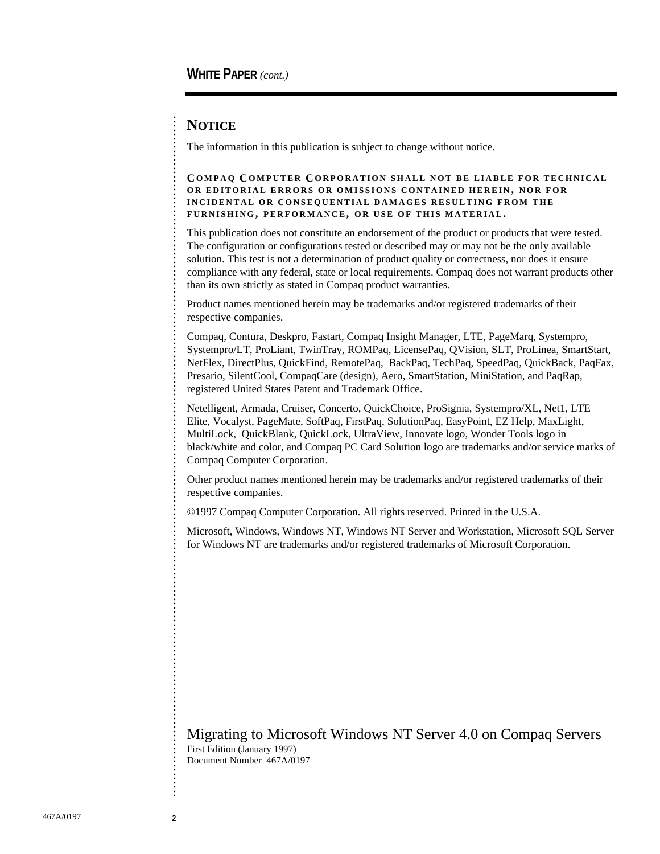#### **NOTICE**

. . . . . . . . . . . . . . . . . . . . . . . . . . . . . . . . . . . . . . . . . . . . . . . . . . . . . . . . . . . . . . . . . . . . . . . . . . . . . . . . . . . . . . . . . . . . . . . . . . . . . . . . . . . . . . . . . . . . . . . . . . . . . . . . . . . . . . . . . . . . . . . . . . . . . . . . . . . . . . . .

The information in this publication is subject to change without notice.

#### **C OMPAQ C OMPUTER C ORPORATION SHALL NOT BE LIABLE FOR TECHNICAL OR EDITORIAL ERRORS OR OMISSIONS CONTAINED HEREIN , NOR FOR INCIDENTAL OR CONSEQUENTIAL DAMAGES RESULTING FROM THE FURNISHING , PERFORMANCE, OR USE OF THIS MATERIAL .**

This publication does not constitute an endorsement of the product or products that were tested. The configuration or configurations tested or described may or may not be the only available solution. This test is not a determination of product quality or correctness, nor does it ensure compliance with any federal, state or local requirements. Compaq does not warrant products other than its own strictly as stated in Compaq product warranties.

Product names mentioned herein may be trademarks and/or registered trademarks of their respective companies.

Compaq, Contura, Deskpro, Fastart, Compaq Insight Manager, LTE, PageMarq, Systempro, Systempro/LT, ProLiant, TwinTray, ROMPaq, LicensePaq, QVision, SLT, ProLinea, SmartStart, NetFlex, DirectPlus, QuickFind, RemotePaq, BackPaq, TechPaq, SpeedPaq, QuickBack, PaqFax, Presario, SilentCool, CompaqCare (design), Aero, SmartStation, MiniStation, and PaqRap, registered United States Patent and Trademark Office.

Netelligent, Armada, Cruiser, Concerto, QuickChoice, ProSignia, Systempro/XL, Net1, LTE Elite, Vocalyst, PageMate, SoftPaq, FirstPaq, SolutionPaq, EasyPoint, EZ Help, MaxLight, MultiLock, QuickBlank, QuickLock, UltraView, Innovate logo, Wonder Tools logo in black/white and color, and Compaq PC Card Solution logo are trademarks and/or service marks of Compaq Computer Corporation.

Other product names mentioned herein may be trademarks and/or registered trademarks of their respective companies.

©1997 Compaq Computer Corporation. All rights reserved. Printed in the U.S.A.

Microsoft, Windows, Windows NT, Windows NT Server and Workstation, Microsoft SQL Server for Windows NT are trademarks and/or registered trademarks of Microsoft Corporation.

#### Migrating to Microsoft Windows NT Server 4.0 on Compaq Servers First Edition (January 1997)

Document Number 467A/0197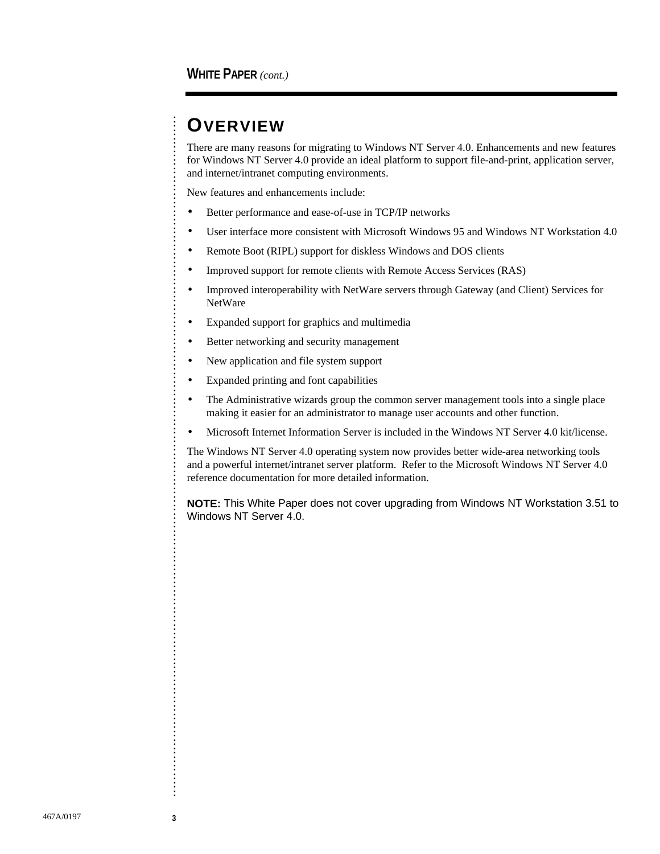# **OVERVIEW**

. . . . . . . . . . . . . . . . . . . . . . . . . . . . . . . . . . . . . . . . . . . . . . . . . . . . . . . . . . . . . . . . . . . . . . . . . . . . . . . . . . . . . . . . . . . . . . . . . . . . . . . . . . . . . . . . . . . . . . . . . . . . . . . . . . . . . . . . . . . . . . . . . . . . . . . . . . . . . . . .

There are many reasons for migrating to Windows NT Server 4.0. Enhancements and new features for Windows NT Server 4.0 provide an ideal platform to support file-and-print, application server, and internet/intranet computing environments.

New features and enhancements include:

- Better performance and ease-of-use in TCP/IP networks
- User interface more consistent with Microsoft Windows 95 and Windows NT Workstation 4.0
- Remote Boot (RIPL) support for diskless Windows and DOS clients
- Improved support for remote clients with Remote Access Services (RAS)
- Improved interoperability with NetWare servers through Gateway (and Client) Services for **NetWare**
- Expanded support for graphics and multimedia
- Better networking and security management
- New application and file system support
- Expanded printing and font capabilities
- The Administrative wizards group the common server management tools into a single place making it easier for an administrator to manage user accounts and other function.
- Microsoft Internet Information Server is included in the Windows NT Server 4.0 kit/license.

The Windows NT Server 4.0 operating system now provides better wide-area networking tools and a powerful internet/intranet server platform. Refer to the Microsoft Windows NT Server 4.0 reference documentation for more detailed information.

**NOTE:** This White Paper does not cover upgrading from Windows NT Workstation 3.51 to Windows NT Server 4.0.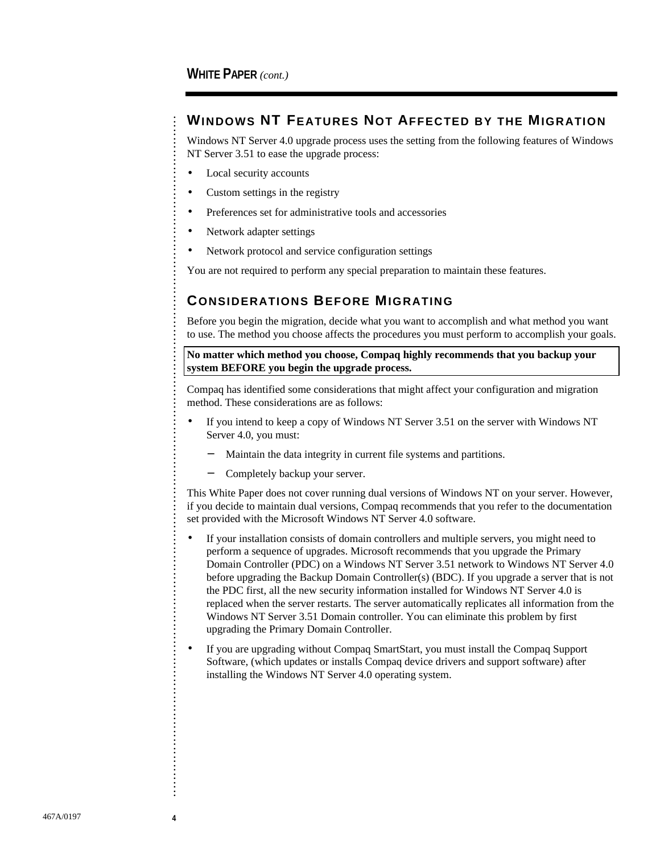#### **WINDOWS NT FEATURES NOT AFFECTED BY THE MIGRATION**

Windows NT Server 4.0 upgrade process uses the setting from the following features of Windows NT Server 3.51 to ease the upgrade process:

- Local security accounts
- Custom settings in the registry
- Preferences set for administrative tools and accessories
- Network adapter settings
- Network protocol and service configuration settings

You are not required to perform any special preparation to maintain these features.

#### **CONSIDERATIONS BEFORE MIGRATING**

Before you begin the migration, decide what you want to accomplish and what method you want to use. The method you choose affects the procedures you must perform to accomplish your goals.

**No matter which method you choose, Compaq highly recommends that you backup your system BEFORE you begin the upgrade process.**

Compaq has identified some considerations that might affect your configuration and migration method. These considerations are as follows:

- If you intend to keep a copy of Windows NT Server 3.51 on the server with Windows NT Server 4.0, you must:
	- Maintain the data integrity in current file systems and partitions.
	- − Completely backup your server.

This White Paper does not cover running dual versions of Windows NT on your server. However, if you decide to maintain dual versions, Compaq recommends that you refer to the documentation set provided with the Microsoft Windows NT Server 4.0 software.

- If your installation consists of domain controllers and multiple servers, you might need to perform a sequence of upgrades. Microsoft recommends that you upgrade the Primary Domain Controller (PDC) on a Windows NT Server 3.51 network to Windows NT Server 4.0 before upgrading the Backup Domain Controller(s) (BDC). If you upgrade a server that is not the PDC first, all the new security information installed for Windows NT Server 4.0 is replaced when the server restarts. The server automatically replicates all information from the Windows NT Server 3.51 Domain controller. You can eliminate this problem by first upgrading the Primary Domain Controller.
- If you are upgrading without Compaq SmartStart, you must install the Compaq Support Software, (which updates or installs Compaq device drivers and support software) after installing the Windows NT Server 4.0 operating system.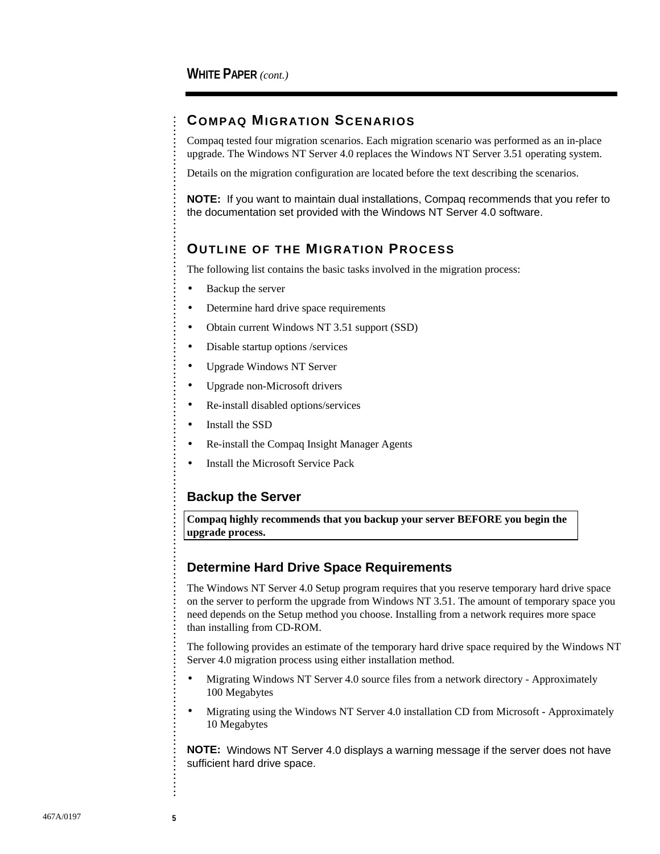#### **COMPAQ MIGRATION SCENARIOS**

Compaq tested four migration scenarios. Each migration scenario was performed as an in-place upgrade. The Windows NT Server 4.0 replaces the Windows NT Server 3.51 operating system.

Details on the migration configuration are located before the text describing the scenarios.

**NOTE:** If you want to maintain dual installations, Compaq recommends that you refer to the documentation set provided with the Windows NT Server 4.0 software.

#### **OUTLINE OF THE MIGRATION PROCESS**

The following list contains the basic tasks involved in the migration process:

- Backup the server
- Determine hard drive space requirements
- Obtain current Windows NT 3.51 support (SSD)
- Disable startup options /services
- Upgrade Windows NT Server
- Upgrade non-Microsoft drivers
- Re-install disabled options/services
- Install the SSD
- Re-install the Compaq Insight Manager Agents
- Install the Microsoft Service Pack

#### **Backup the Server**

**Compaq highly recommends that you backup your server BEFORE you begin the upgrade process.**

#### **Determine Hard Drive Space Requirements**

The Windows NT Server 4.0 Setup program requires that you reserve temporary hard drive space on the server to perform the upgrade from Windows NT 3.51. The amount of temporary space you need depends on the Setup method you choose. Installing from a network requires more space than installing from CD-ROM.

The following provides an estimate of the temporary hard drive space required by the Windows NT Server 4.0 migration process using either installation method.

- Migrating Windows NT Server 4.0 source files from a network directory Approximately 100 Megabytes
- Migrating using the Windows NT Server 4.0 installation CD from Microsoft Approximately 10 Megabytes

**NOTE:** Windows NT Server 4.0 displays a warning message if the server does not have sufficient hard drive space.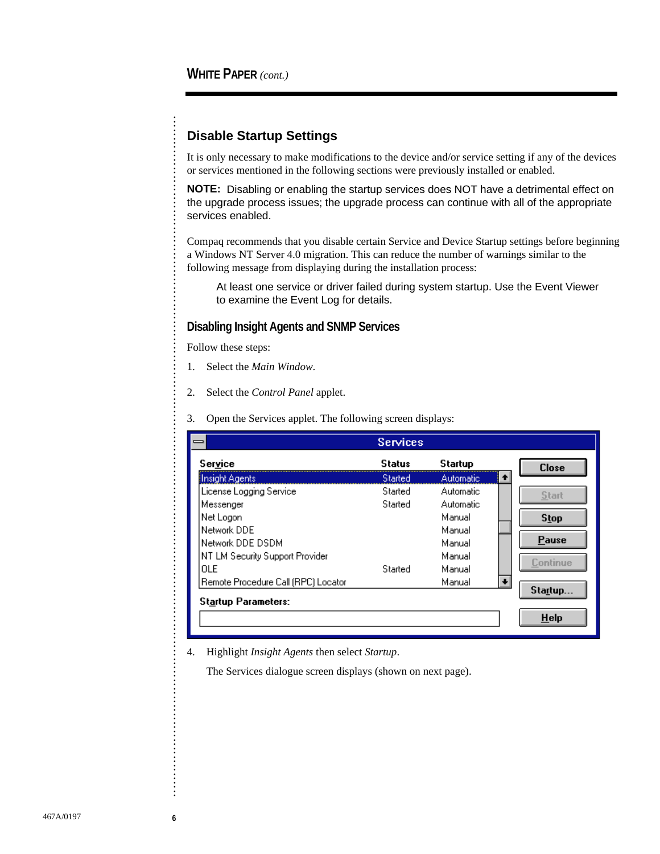. . . . . . . . . . . . . . . . . . . . . . . . . . . . . . . . . . . . . . . . . . . . . . . . . . . . . . . . . . . . . . . . . . . . . . . . . . . . . .

#### **Disable Startup Settings**

It is only necessary to make modifications to the device and/or service setting if any of the devices or services mentioned in the following sections were previously installed or enabled.

**NOTE:** Disabling or enabling the startup services does NOT have a detrimental effect on the upgrade process issues; the upgrade process can continue with all of the appropriate services enabled.

Compaq recommends that you disable certain Service and Device Startup settings before beginning a Windows NT Server 4.0 migration. This can reduce the number of warnings similar to the following message from displaying during the installation process:

At least one service or driver failed during system startup. Use the Event Viewer to examine the Event Log for details.

#### **Disabling Insight Agents and SNMP Services**

Follow these steps:

- 1. Select the *Main Window*.
- 2. Select the *Control Panel* applet.

#### 3. Open the Services applet. The following screen displays:

|                                     | <b>Services</b> |                  |           |              |
|-------------------------------------|-----------------|------------------|-----------|--------------|
| Service                             | Status          | Startup          |           | <b>Close</b> |
| Insight Agents                      | <b>Started</b>  | <b>Automatic</b> | $\bullet$ |              |
| License Logging Service             | Started         | Automatic        |           | <b>Start</b> |
| Messenger                           | Started         | Automatic        |           |              |
| Net Logon                           |                 | Manual           |           | <b>Stop</b>  |
| Network DDE                         |                 | Manual           |           |              |
| Network DDE DSDM                    |                 | Manual           |           | Pause        |
| NT LM Security Support Provider     |                 | Manual           |           | Continue     |
| OLE                                 | Started         | Manual           |           |              |
| Remote Procedure Call (RPC) Locator |                 | Manual           |           |              |
| <b>Startup Parameters:</b>          |                 |                  |           | Startup      |
|                                     |                 |                  |           | <b>Help</b>  |

4. Highlight *Insight Agents* then select *Startup*.

The Services dialogue screen displays (shown on next page).

. . . . . . . . . . . . . . . . . . . . . . . . . . . . . . . . . . . . . .

. . . . . . . . . . . . . . . . . . . . . . . . . . . . . . . . . . . . . . . . . . . .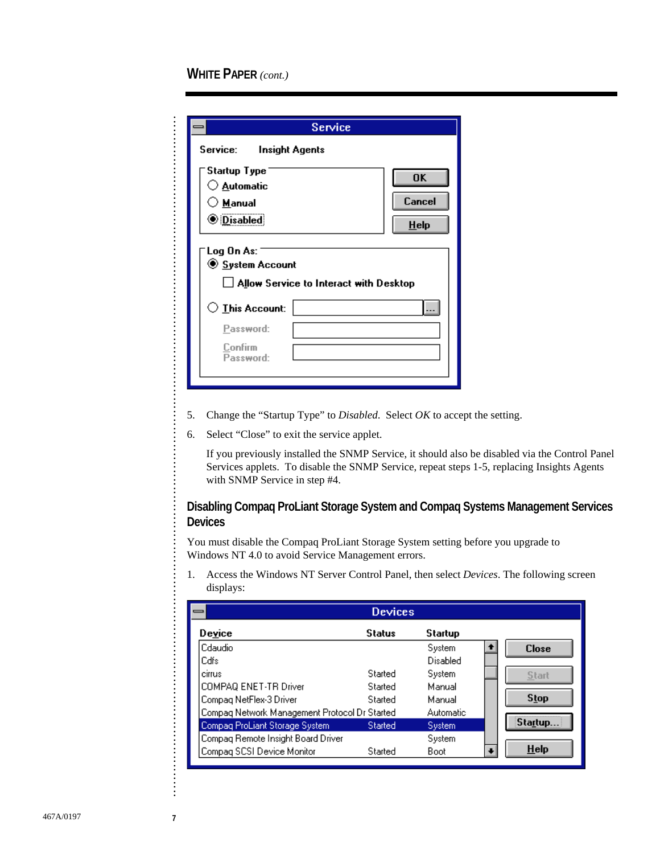. . . . . . . . . . . . . . . . . . . . . . . . . . . . . . . . . . . . . . . . . . . . . . . . . . . . . . . . . . . . . . . . . . . . . . . . . . . . . . . . . . . . . . . . . . . . . . . . . . . . . . . . . . . . . . .

|                                                                         | Service                                |           |
|-------------------------------------------------------------------------|----------------------------------------|-----------|
| Service:<br>Insight Agents                                              |                                        |           |
| Startup Type                                                            |                                        | <b>OK</b> |
| $\bigcirc$ <u>A</u> utomatic                                            |                                        |           |
| ○ <u>M</u> anual                                                        |                                        | Cancel    |
| <b><i>ODisabled</i></b>                                                 |                                        | $He$ lp   |
| Log On As:<br>◉ System Account<br>$\bigcirc$ This Account:<br>Password: | Allow Service to Interact with Desktop |           |
| Confirm<br>Password:                                                    |                                        |           |

- 5. Change the "Startup Type" to *Disabled*. Select *OK* to accept the setting.
- 6. Select "Close" to exit the service applet.

 If you previously installed the SNMP Service, it should also be disabled via the Control Panel Services applets. To disable the SNMP Service, repeat steps 1-5, replacing Insights Agents with SNMP Service in step #4.

#### **Disabling Compaq ProLiant Storage System and Compaq Systems Management Services Devices**

You must disable the Compaq ProLiant Storage System setting before you upgrade to Windows NT 4.0 to avoid Service Management errors.

1. Access the Windows NT Server Control Panel, then select *Devices*. The following screen displays:

| <b>Devices</b><br>—                           |                |           |  |              |
|-----------------------------------------------|----------------|-----------|--|--------------|
| Device                                        | <b>Status</b>  | Startup   |  |              |
| Cdaudio                                       |                | System    |  | <b>Close</b> |
| Cdfs                                          |                | Disabled  |  |              |
| cirrus                                        | Started        | System    |  | Start        |
| COMPAQ ENET-TR Driver                         | Started        | Manual    |  |              |
| Compag NetFlex-3 Driver                       | Started        | Manual    |  | Stop         |
| Compag Network Management Protocol Dr Started |                | Automatic |  |              |
| Compag ProLiant Storage System                | <b>Started</b> | System    |  | Startup.     |
| Compag Remote Insight Board Driver            |                | System    |  |              |
| Compag SCSI Device Monitor                    | Started        | Boot      |  | <b>Help</b>  |

. . . . . . . . . . . . . . . . . . . . . . . . . . . . . . . . . . . . . . . . . . . . . . . . .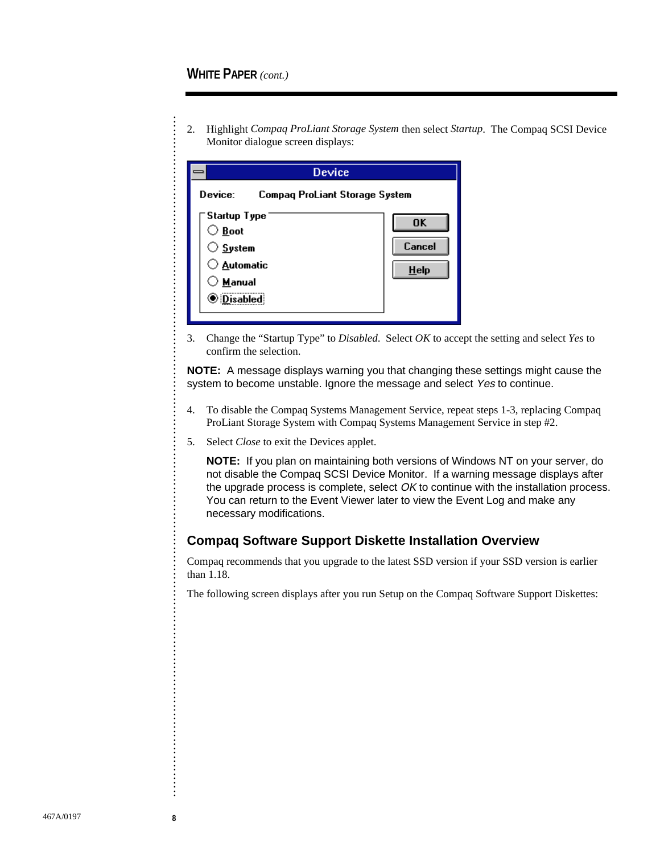2. Highlight *Compaq ProLiant Storage System* then select *Startup*. The Compaq SCSI Device Monitor dialogue screen displays:

| Device                                                                                                                  |                                |  |  |  |
|-------------------------------------------------------------------------------------------------------------------------|--------------------------------|--|--|--|
| Device:                                                                                                                 | Compag ProLiant Storage System |  |  |  |
| <sup>-</sup> Startup Type<br>$\bigcirc$ Boot<br>$\bigcirc$ System<br>◯ <u>A</u> utomatic<br>○ Manual<br><b>Disabled</b> | <b>OK</b><br>Cancel<br>$He$ lp |  |  |  |

3. Change the "Startup Type" to *Disabled*. Select *OK* to accept the setting and select *Yes* to confirm the selection.

**NOTE:** A message displays warning you that changing these settings might cause the system to become unstable. Ignore the message and select Yes to continue.

- 4. To disable the Compaq Systems Management Service, repeat steps 1-3, replacing Compaq ProLiant Storage System with Compaq Systems Management Service in step #2.
- 5. Select *Close* to exit the Devices applet.

**NOTE:** If you plan on maintaining both versions of Windows NT on your server, do not disable the Compaq SCSI Device Monitor. If a warning message displays after the upgrade process is complete, select  $OK$  to continue with the installation process. You can return to the Event Viewer later to view the Event Log and make any necessary modifications.

#### **Compaq Software Support Diskette Installation Overview**

Compaq recommends that you upgrade to the latest SSD version if your SSD version is earlier than 1.18.

The following screen displays after you run Setup on the Compaq Software Support Diskettes: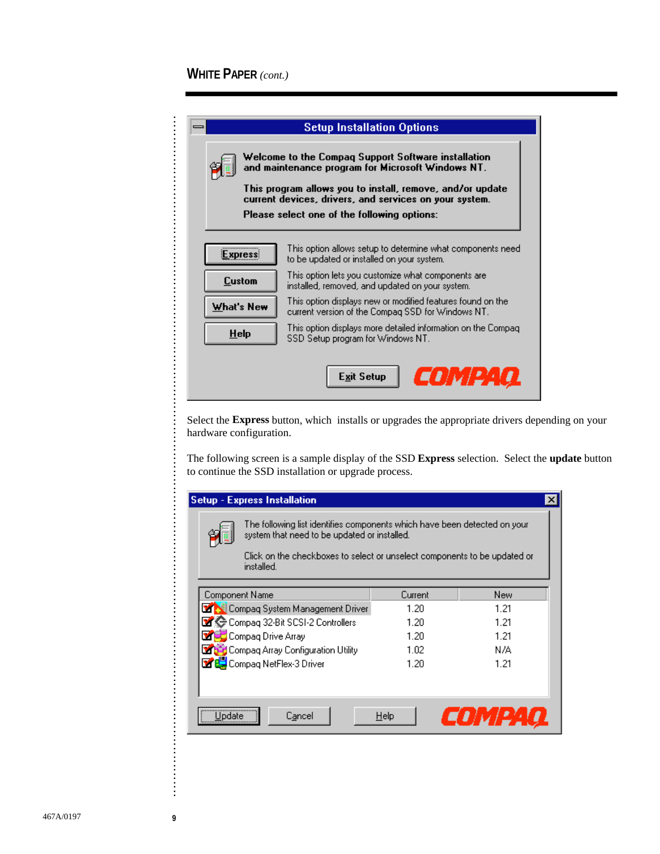. . . . . . . . . . . . . . . . . . . . .

. . .

.......................

. . . . . . . . . . . . . . . . . . . . . . . . . . . . . . . . . . . . . . . . . . . . . . . . . . . . . . . . . . . . . . . . . . . . . . .

|  | <b>Setup Installation Options</b>                                                                                                                                                                                               |                      |  |  |
|--|---------------------------------------------------------------------------------------------------------------------------------------------------------------------------------------------------------------------------------|----------------------|--|--|
|  | Welcome to the Compaq Support Software installation<br>and maintenance program for Microsoft Windows NT.<br>This program allows you to install, remove, and/or update<br>current devices, drivers, and services on your system. |                      |  |  |
|  |                                                                                                                                                                                                                                 |                      |  |  |
|  | Please select one of the following options:                                                                                                                                                                                     |                      |  |  |
|  | This option allows setup to determine what components need.<br>Express<br>to be updated or installed on your system.                                                                                                            |                      |  |  |
|  | This option lets you customize what components are<br>Custom<br>installed, removed, and updated on your system.                                                                                                                 |                      |  |  |
|  | This option displays new or modified features found on the<br>What's New<br>current version of the Compag SSD for Windows NT.                                                                                                   |                      |  |  |
|  | This option displays more detailed information on the Compaq<br><b>Help</b><br>SSD Setup program for Windows NT.                                                                                                                |                      |  |  |
|  |                                                                                                                                                                                                                                 | COMPAQ<br>Exit Setup |  |  |

Select the **Express** button, which installs or upgrades the appropriate drivers depending on your hardware configuration.

The following screen is a sample display of the SSD **Express** selection. Select the **update** button to continue the SSD installation or upgrade process.

| <b>Setup - Express Installation</b> |                                                                                                                                                                                                                      |         |        |  |
|-------------------------------------|----------------------------------------------------------------------------------------------------------------------------------------------------------------------------------------------------------------------|---------|--------|--|
|                                     | The following list identifies components which have been detected on your<br>system that need to be updated or installed.<br>Click on the checkboxes to select or unselect components to be updated or<br>installed. |         |        |  |
| Component Name                      |                                                                                                                                                                                                                      | Current | New    |  |
|                                     | <b>MAR</b> Compag System Management Driver                                                                                                                                                                           | 1 2N    | 1.21   |  |
|                                     | Compag 32-Bit SCSI-2 Controllers                                                                                                                                                                                     | 1.20    | 1.21   |  |
|                                     | <b>ME</b> Compag Drive Array                                                                                                                                                                                         | 1.20    | 1.21   |  |
|                                     | <b>Many Compaq Array Configuration Utility</b>                                                                                                                                                                       | 1.02    | N/A    |  |
|                                     | Compaq NetFlex-3 Driver                                                                                                                                                                                              | 1.20    | 1.21   |  |
|                                     |                                                                                                                                                                                                                      |         |        |  |
| Uodate                              | Cancel                                                                                                                                                                                                               | Help    | COMPAC |  |

. . . . . . . . . . . . . . . . . . . . . . . . . . . . . . . . . . . . . . . . .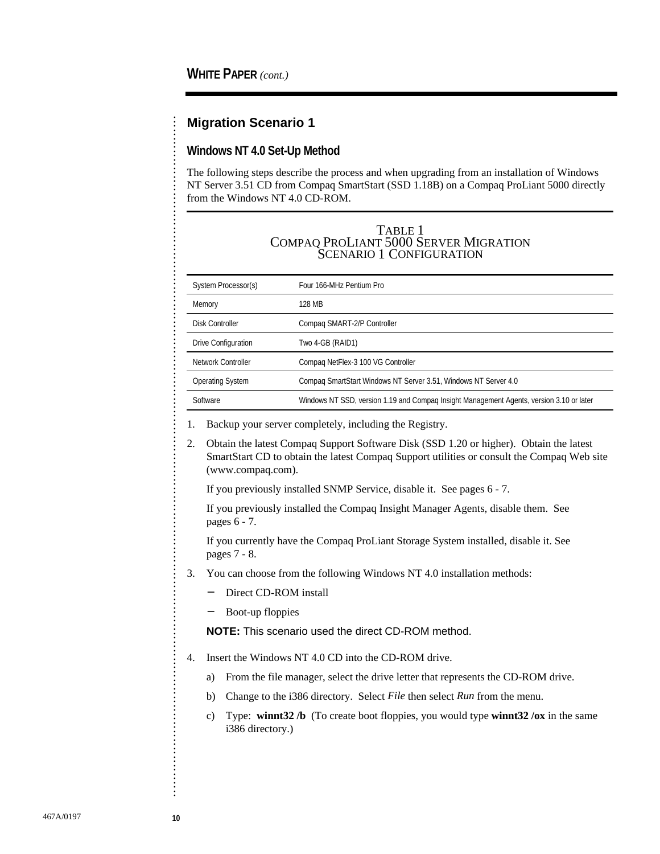#### **Migration Scenario 1**

#### **Windows NT 4.0 Set-Up Method**

The following steps describe the process and when upgrading from an installation of Windows NT Server 3.51 CD from Compaq SmartStart (SSD 1.18B) on a Compaq ProLiant 5000 directly from the Windows NT 4.0 CD-ROM.

#### TABLE 1 COMPAQ PROLIANT 5000 SERVER MIGRATION SCENARIO 1 CONFIGURATION

| System Processor(s)        | Four 166-MHz Pentium Pro                                                                 |
|----------------------------|------------------------------------------------------------------------------------------|
| Memory                     | 128 MB                                                                                   |
| Disk Controller            | Compag SMART-2/P Controller                                                              |
| <b>Drive Configuration</b> | Two 4-GB (RAID1)                                                                         |
| Network Controller         | Compag NetFlex-3 100 VG Controller                                                       |
| <b>Operating System</b>    | Compag SmartStart Windows NT Server 3.51, Windows NT Server 4.0                          |
| Software                   | Windows NT SSD, version 1.19 and Compag Insight Management Agents, version 3.10 or later |

1. Backup your server completely, including the Registry.

2. Obtain the latest Compaq Support Software Disk (SSD 1.20 or higher). Obtain the latest SmartStart CD to obtain the latest Compaq Support utilities or consult the Compaq Web site (www.compaq.com).

If you previously installed SNMP Service, disable it. See pages 6 - 7.

 If you previously installed the Compaq Insight Manager Agents, disable them. See pages 6 - 7.

 If you currently have the Compaq ProLiant Storage System installed, disable it. See pages 7 - 8.

- 3. You can choose from the following Windows NT 4.0 installation methods:
	- Direct CD-ROM install
	- − Boot-up floppies

**NOTE:** This scenario used the direct CD-ROM method.

4. Insert the Windows NT 4.0 CD into the CD-ROM drive.

- a) From the file manager, select the drive letter that represents the CD-ROM drive.
- b) Change to the i386 directory. Select *File* then select *Run* from the menu.
- c) Type: **winnt32 /b** (To create boot floppies, you would type **winnt32 /ox** in the same i386 directory.)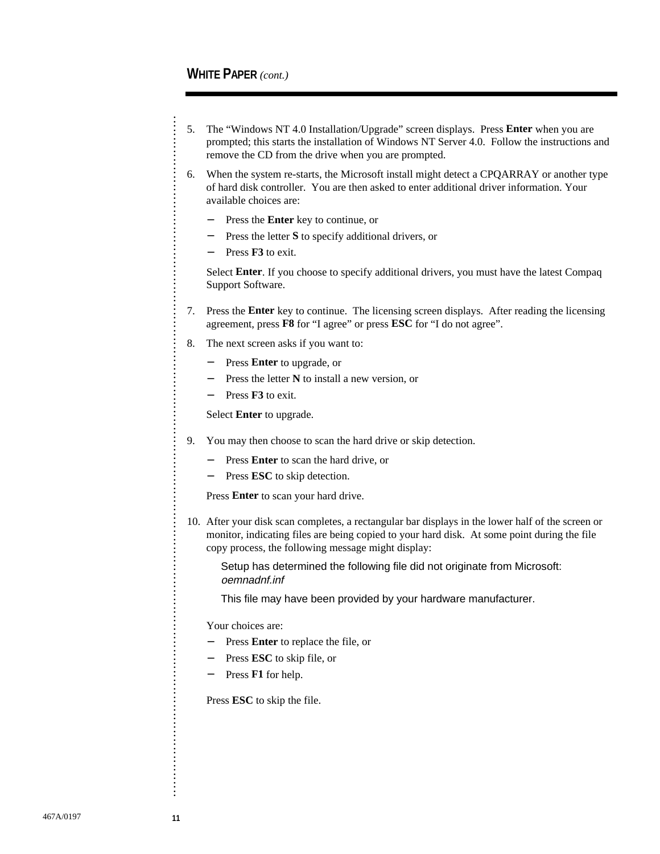- 5. The "Windows NT 4.0 Installation/Upgrade" screen displays. Press **Enter** when you are prompted; this starts the installation of Windows NT Server 4.0. Follow the instructions and remove the CD from the drive when you are prompted.
- 6. When the system re-starts, the Microsoft install might detect a CPQARRAY or another type of hard disk controller. You are then asked to enter additional driver information. Your available choices are:
	- − Press the **Enter** key to continue, or
	- − Press the letter **S** to specify additional drivers, or
	- − Press **F3** to exit.

 Select **Enter**. If you choose to specify additional drivers, you must have the latest Compaq Support Software.

- 7. Press the **Enter** key to continue. The licensing screen displays. After reading the licensing agreement, press **F8** for "I agree" or press **ESC** for "I do not agree".
- 8. The next screen asks if you want to:
	- − Press **Enter** to upgrade, or
	- − Press the letter **N** to install a new version, or
	- − Press **F3** to exit.

Select **Enter** to upgrade.

- 9. You may then choose to scan the hard drive or skip detection.
	- − Press **Enter** to scan the hard drive, or
	- − Press **ESC** to skip detection.

Press **Enter** to scan your hard drive.

10. After your disk scan completes, a rectangular bar displays in the lower half of the screen or monitor, indicating files are being copied to your hard disk. At some point during the file copy process, the following message might display:

Setup has determined the following file did not originate from Microsoft: oemnadnf.inf

This file may have been provided by your hardware manufacturer.

Your choices are:

- − Press **Enter** to replace the file, or
- − Press **ESC** to skip file, or
- − Press **F1** for help.

Press **ESC** to skip the file.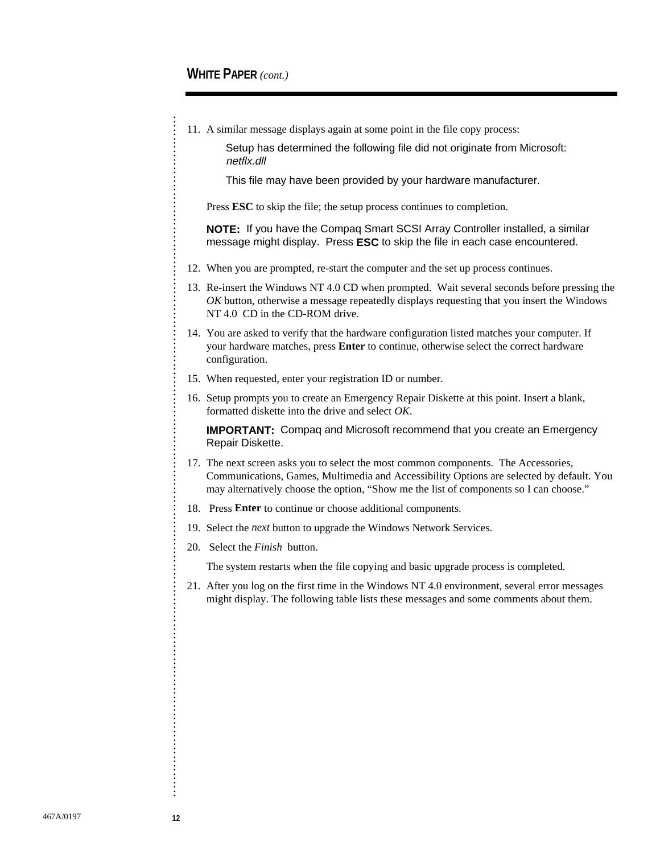. . . . . . . . . . . . . . . . . . . . . . . . . . . . . . . . . . . . . . . . . . . . . . . . . . . . . . . . . . . . . . . . . . . . . . . . . . . . . . . . . . . . . . . . . . . . . . . . . . . . . . . . . . . . . . . . . . . . . . . . . . . . . . . . . . . . . . . . . . . . . . . . . . . . . . . . . . . . . . . .

11. A similar message displays again at some point in the file copy process:

Setup has determined the following file did not originate from Microsoft: netflx.dll

This file may have been provided by your hardware manufacturer.

Press **ESC** to skip the file; the setup process continues to completion.

**NOTE:** If you have the Compaq Smart SCSI Array Controller installed, a similar message might display. Press **ESC** to skip the file in each case encountered.

- 12. When you are prompted, re-start the computer and the set up process continues.
- 13. Re-insert the Windows NT 4.0 CD when prompted. Wait several seconds before pressing the *OK* button, otherwise a message repeatedly displays requesting that you insert the Windows NT 4.0 CD in the CD-ROM drive.
- 14. You are asked to verify that the hardware configuration listed matches your computer. If your hardware matches, press **Enter** to continue, otherwise select the correct hardware configuration.
- 15. When requested, enter your registration ID or number.
- 16. Setup prompts you to create an Emergency Repair Diskette at this point. Insert a blank, formatted diskette into the drive and select *OK*.

**IMPORTANT:** Compaq and Microsoft recommend that you create an Emergency Repair Diskette.

- 17. The next screen asks you to select the most common components. The Accessories, Communications, Games, Multimedia and Accessibility Options are selected by default. You may alternatively choose the option, "Show me the list of components so I can choose."
- 18. Press **Enter** to continue or choose additional components.
- 19. Select the *next* button to upgrade the Windows Network Services.
- 20. Select the *Finish* button.

The system restarts when the file copying and basic upgrade process is completed.

21. After you log on the first time in the Windows NT 4.0 environment, several error messages might display. The following table lists these messages and some comments about them.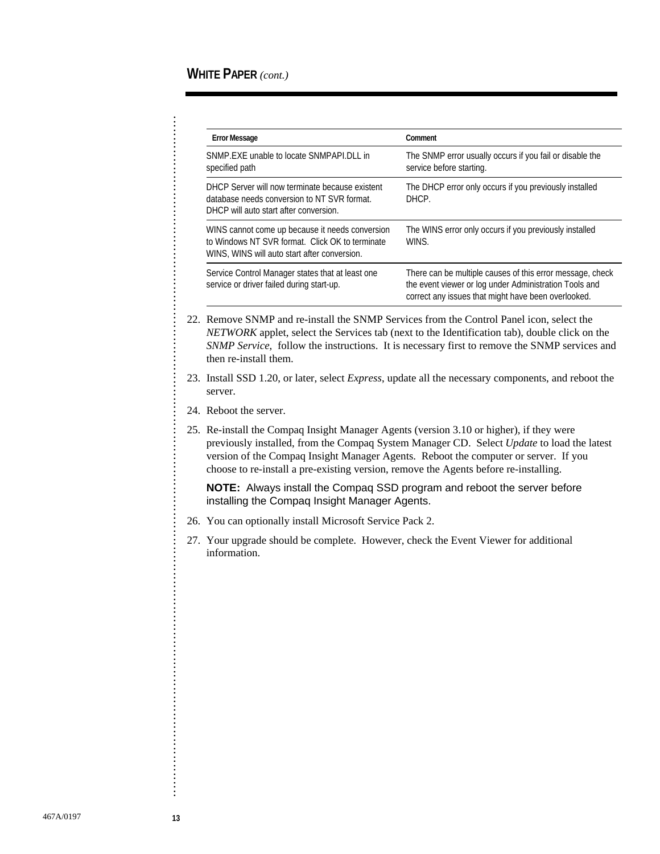| <b>Error Message</b>                                                                                                                               | Comment                                                                                                                                                                    |
|----------------------------------------------------------------------------------------------------------------------------------------------------|----------------------------------------------------------------------------------------------------------------------------------------------------------------------------|
| SNMP.EXE unable to locate SNMPAPI.DLL in<br>specified path                                                                                         | The SNMP error usually occurs if you fail or disable the<br>service before starting.                                                                                       |
| DHCP Server will now terminate because existent<br>database needs conversion to NT SVR format.<br>DHCP will auto start after conversion.           | The DHCP error only occurs if you previously installed<br>DHCP.                                                                                                            |
| WINS cannot come up because it needs conversion<br>to Windows NT SVR format. Click OK to terminate<br>WINS, WINS will auto start after conversion. | The WINS error only occurs if you previously installed<br>WINS.                                                                                                            |
| Service Control Manager states that at least one<br>service or driver failed during start-up.                                                      | There can be multiple causes of this error message, check<br>the event viewer or log under Administration Tools and<br>correct any issues that might have been overlooked. |

- 22. Remove SNMP and re-install the SNMP Services from the Control Panel icon, select the *NETWORK* applet, select the Services tab (next to the Identification tab), double click on the *SNMP Service*, follow the instructions. It is necessary first to remove the SNMP services and then re-install them.
- 23. Install SSD 1.20, or later, select *Express*, update all the necessary components, and reboot the server.
- 24. Reboot the server.
- 25. Re-install the Compaq Insight Manager Agents (version 3.10 or higher), if they were previously installed, from the Compaq System Manager CD. Select *Update* to load the latest version of the Compaq Insight Manager Agents. Reboot the computer or server. If you choose to re-install a pre-existing version, remove the Agents before re-installing.

**NOTE:** Always install the Compaq SSD program and reboot the server before installing the Compaq Insight Manager Agents.

- 26. You can optionally install Microsoft Service Pack 2.
- 27. Your upgrade should be complete. However, check the Event Viewer for additional information.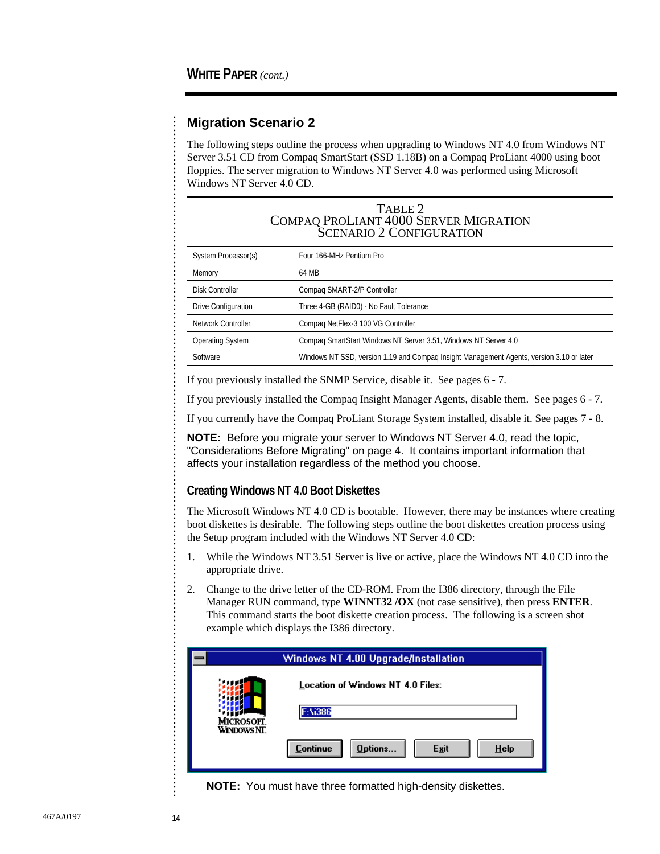. . . . . . . . . . . . . . . . . . . . . . . . . . . . . . . . . . . . . . . . . . . . . . . . . . . . . . . . . . . . . . . . . . . . . . . . . . . . . . . . . . . . . . . . . . . . . . . . . . . . . . . . . . . . . . . . . . . . . . . . . . .

#### **Migration Scenario 2**

The following steps outline the process when upgrading to Windows NT 4.0 from Windows NT Server 3.51 CD from Compaq SmartStart (SSD 1.18B) on a Compaq ProLiant 4000 using boot floppies. The server migration to Windows NT Server 4.0 was performed using Microsoft Windows NT Server 4.0 CD.

#### TABLE 2 COMPAQ PROLIANT 4000 SERVER MIGRATION SCENARIO 2 CONFIGURATION

| System Processor(s)       | Four 166-MHz Pentium Pro                                                                 |
|---------------------------|------------------------------------------------------------------------------------------|
| Memory                    | 64 MB                                                                                    |
| <b>Disk Controller</b>    | Compag SMART-2/P Controller                                                              |
| Drive Configuration       | Three 4-GB (RAID0) - No Fault Tolerance                                                  |
| <b>Network Controller</b> | Compag NetFlex-3 100 VG Controller                                                       |
| <b>Operating System</b>   | Compag SmartStart Windows NT Server 3.51, Windows NT Server 4.0                          |
| Software                  | Windows NT SSD, version 1.19 and Compag Insight Management Agents, version 3.10 or later |
|                           |                                                                                          |

If you previously installed the SNMP Service, disable it. See pages 6 - 7.

If you previously installed the Compaq Insight Manager Agents, disable them. See pages 6 - 7.

If you currently have the Compaq ProLiant Storage System installed, disable it. See pages 7 - 8.

**NOTE:** Before you migrate your server to Windows NT Server 4.0, read the topic, "Considerations Before Migrating" on page 4. It contains important information that affects your installation regardless of the method you choose.

#### **Creating Windows NT 4.0 Boot Diskettes**

The Microsoft Windows NT 4.0 CD is bootable. However, there may be instances where creating boot diskettes is desirable. The following steps outline the boot diskettes creation process using the Setup program included with the Windows NT Server 4.0 CD:

- 1. While the Windows NT 3.51 Server is live or active, place the Windows NT 4.0 CD into the appropriate drive.
- 2. Change to the drive letter of the CD-ROM. From the I386 directory, through the File Manager RUN command, type **WINNT32 /OX** (not case sensitive), then press **ENTER**. This command starts the boot diskette creation process. The following is a screen shot example which displays the I386 directory.

|                   | Windows NT 4.00 Upgrade/Installation          |  |  |
|-------------------|-----------------------------------------------|--|--|
| <b>MICROSOFT.</b> | Location of Windows NT 4.0 Files:<br>F:\i386  |  |  |
| WINDOWS NT.       | <b>Continue</b><br>Options<br>Exit<br>$He$ lp |  |  |

**NOTE:** You must have three formatted high-density diskettes.

......................................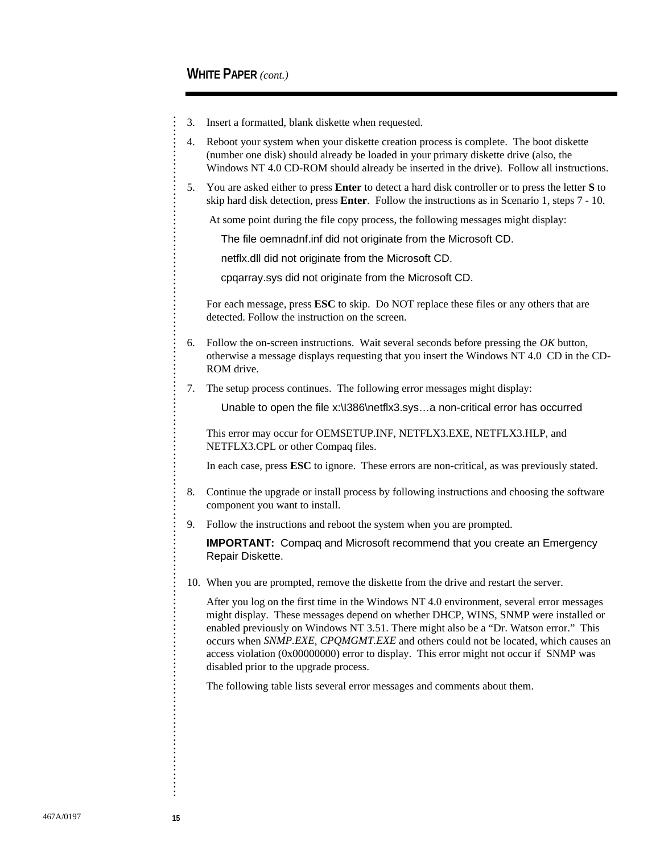. . . . . . . . . . . . . . . . . . . . . . . . . . . . . . . . . . . . . . . . . . . . . . . . . . . . . . . . . . . . . . . . . . . . . . . . . . . . . . . . . . . . . . . . . . . . . . . . . . . . . . . . . . . . . . . . . . . . . . . . . . . . . . . . . . . . . . . . . . . . . . . . . . . . . . . . . . . . . . . .

- 3. Insert a formatted, blank diskette when requested.
- 4. Reboot your system when your diskette creation process is complete. The boot diskette (number one disk) should already be loaded in your primary diskette drive (also, the Windows NT 4.0 CD-ROM should already be inserted in the drive). Follow all instructions.
- 5. You are asked either to press **Enter** to detect a hard disk controller or to press the letter **S** to skip hard disk detection, press **Enter**. Follow the instructions as in Scenario 1, steps 7 - 10.

At some point during the file copy process, the following messages might display:

The file oemnadnf.inf did not originate from the Microsoft CD.

netflx.dll did not originate from the Microsoft CD.

cpqarray.sys did not originate from the Microsoft CD.

 For each message, press **ESC** to skip. Do NOT replace these files or any others that are detected. Follow the instruction on the screen.

- 6. Follow the on-screen instructions. Wait several seconds before pressing the *OK* button, otherwise a message displays requesting that you insert the Windows NT 4.0 CD in the CD-ROM drive.
- 7. The setup process continues. The following error messages might display:

Unable to open the file x:\I386\netflx3.sys…a non-critical error has occurred

 This error may occur for OEMSETUP.INF, NETFLX3.EXE, NETFLX3.HLP, and NETFLX3.CPL or other Compaq files.

In each case, press **ESC** to ignore. These errors are non-critical, as was previously stated.

- 8. Continue the upgrade or install process by following instructions and choosing the software component you want to install.
- 9. Follow the instructions and reboot the system when you are prompted.

**IMPORTANT:** Compaq and Microsoft recommend that you create an Emergency Repair Diskette.

10. When you are prompted, remove the diskette from the drive and restart the server.

 After you log on the first time in the Windows NT 4.0 environment, several error messages might display. These messages depend on whether DHCP, WINS, SNMP were installed or enabled previously on Windows NT 3.51. There might also be a "Dr. Watson error." This occurs when *SNMP.EXE*, *CPQMGMT.EXE* and others could not be located, which causes an access violation (0x00000000) error to display. This error might not occur if SNMP was disabled prior to the upgrade process.

The following table lists several error messages and comments about them.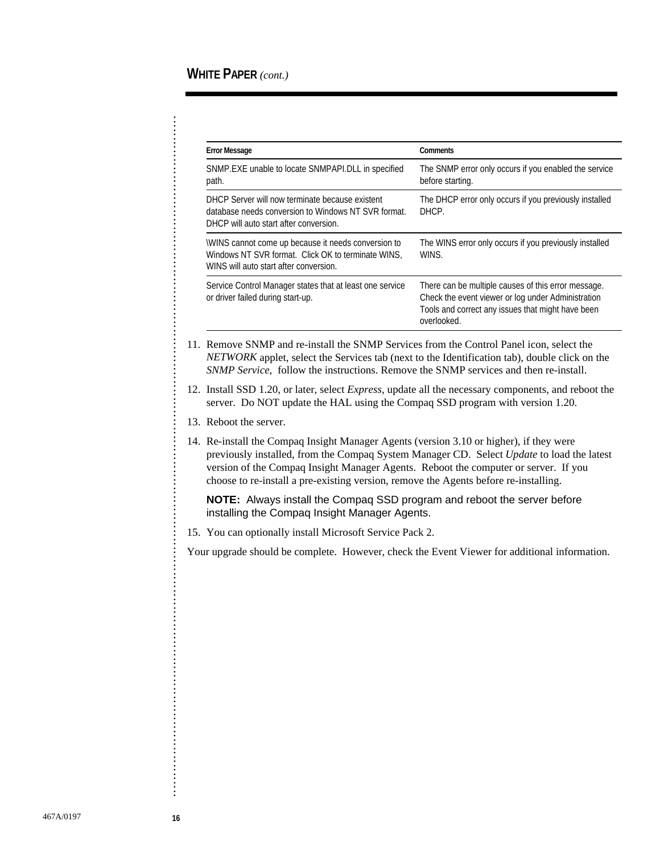| <b>Error Message</b>                                                                                                                               | Comments                                                                                                                                                                      |
|----------------------------------------------------------------------------------------------------------------------------------------------------|-------------------------------------------------------------------------------------------------------------------------------------------------------------------------------|
| SNMP.EXE unable to locate SNMPAPI.DLL in specified<br>path.                                                                                        | The SNMP error only occurs if you enabled the service<br>before starting.                                                                                                     |
| DHCP Server will now terminate because existent<br>database needs conversion to Windows NT SVR format.<br>DHCP will auto start after conversion.   | The DHCP error only occurs if you previously installed<br>DHCP.                                                                                                               |
| WINS cannot come up because it needs conversion to<br>Windows NT SVR format. Click OK to terminate WINS.<br>WINS will auto start after conversion. | The WINS error only occurs if you previously installed<br>WINS.                                                                                                               |
| Service Control Manager states that at least one service<br>or driver failed during start-up.                                                      | There can be multiple causes of this error message.<br>Check the event viewer or log under Administration<br>Tools and correct any issues that might have been<br>overlooked. |

- 11. Remove SNMP and re-install the SNMP Services from the Control Panel icon, select the *NETWORK* applet, select the Services tab (next to the Identification tab), double click on the *SNMP Service*, follow the instructions. Remove the SNMP services and then re-install.
- 12. Install SSD 1.20, or later, select *Express*, update all the necessary components, and reboot the server. Do NOT update the HAL using the Compaq SSD program with version 1.20.
- 13. Reboot the server.
- 14. Re-install the Compaq Insight Manager Agents (version 3.10 or higher), if they were previously installed, from the Compaq System Manager CD. Select *Update* to load the latest version of the Compaq Insight Manager Agents. Reboot the computer or server. If you choose to re-install a pre-existing version, remove the Agents before re-installing.

**NOTE:** Always install the Compaq SSD program and reboot the server before installing the Compaq Insight Manager Agents.

15. You can optionally install Microsoft Service Pack 2.

Your upgrade should be complete. However, check the Event Viewer for additional information.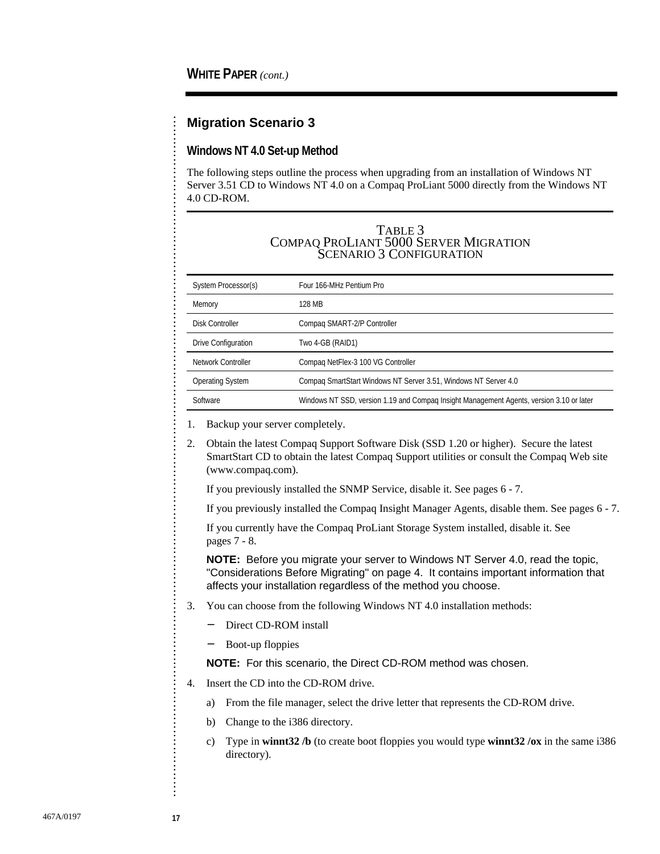#### **Migration Scenario 3**

#### **Windows NT 4.0 Set-up Method**

The following steps outline the process when upgrading from an installation of Windows NT Server 3.51 CD to Windows NT 4.0 on a Compaq ProLiant 5000 directly from the Windows NT 4.0 CD-ROM.

#### TABLE 3 COMPAQ PROLIANT 5000 SERVER MIGRATION SCENARIO 3 CONFIGURATION

| System Processor(s)        | Four 166-MHz Pentium Pro                                                                 |
|----------------------------|------------------------------------------------------------------------------------------|
| Memory                     | 128 MB                                                                                   |
| Disk Controller            | Compag SMART-2/P Controller                                                              |
| <b>Drive Configuration</b> | Two 4-GB (RAID1)                                                                         |
| Network Controller         | Compaq NetFlex-3 100 VG Controller                                                       |
| <b>Operating System</b>    | Compag SmartStart Windows NT Server 3.51, Windows NT Server 4.0                          |
| Software                   | Windows NT SSD, version 1.19 and Compag Insight Management Agents, version 3.10 or later |

1. Backup your server completely.

2. Obtain the latest Compaq Support Software Disk (SSD 1.20 or higher). Secure the latest SmartStart CD to obtain the latest Compaq Support utilities or consult the Compaq Web site (www.compaq.com).

If you previously installed the SNMP Service, disable it. See pages 6 - 7.

If you previously installed the Compaq Insight Manager Agents, disable them. See pages 6 - 7.

 If you currently have the Compaq ProLiant Storage System installed, disable it. See pages 7 - 8.

**NOTE:** Before you migrate your server to Windows NT Server 4.0, read the topic, "Considerations Before Migrating" on page 4. It contains important information that affects your installation regardless of the method you choose.

- 3. You can choose from the following Windows NT 4.0 installation methods:
	- − Direct CD-ROM install
	- − Boot-up floppies

**NOTE:** For this scenario, the Direct CD-ROM method was chosen.

- 4. Insert the CD into the CD-ROM drive.
	- a) From the file manager, select the drive letter that represents the CD-ROM drive.
	- b) Change to the i386 directory.
	- c) Type in **winnt32 /b** (to create boot floppies you would type **winnt32 /ox** in the same i386 directory).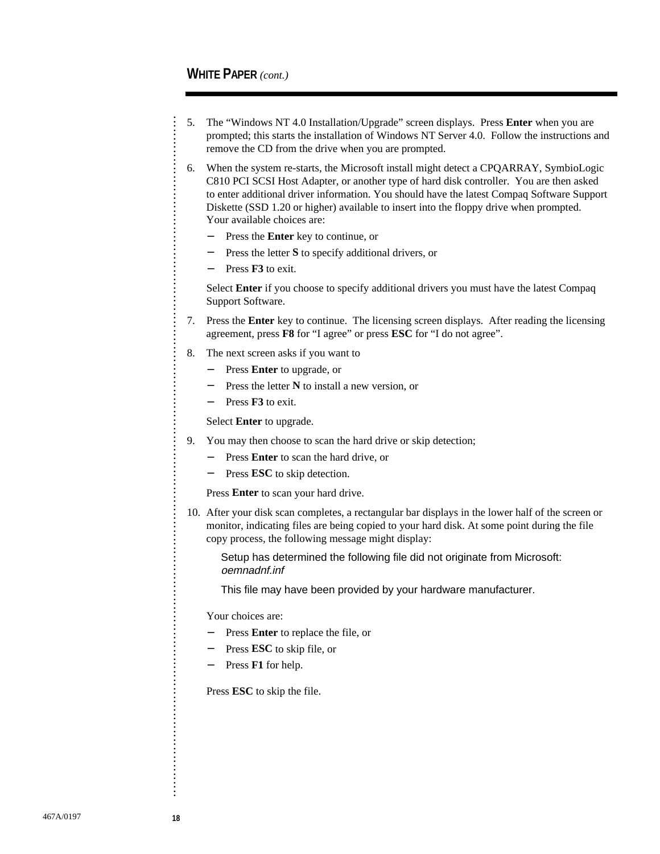. . . . . . . . . . . . . . . . . . . . . . . . . . . . . . . . . . . . . . . . . . . . . . . . . . . . . . . . . . . . . . . . . . . . . . . . . . . . . . . . . . . . . . . . . . . . . . . . . . . . . . . . . . . . . . . . . . . . . . . . . . . . . . . . . . . . . . . . . . . . . . . . . . . . . . . . . . . . . . . .

- 5. The "Windows NT 4.0 Installation/Upgrade" screen displays. Press **Enter** when you are prompted; this starts the installation of Windows NT Server 4.0. Follow the instructions and remove the CD from the drive when you are prompted.
- 6. When the system re-starts, the Microsoft install might detect a CPQARRAY, SymbioLogic C810 PCI SCSI Host Adapter, or another type of hard disk controller. You are then asked to enter additional driver information. You should have the latest Compaq Software Support Diskette (SSD 1.20 or higher) available to insert into the floppy drive when prompted. Your available choices are:
	- − Press the **Enter** key to continue, or
	- − Press the letter **S** to specify additional drivers, or
	- − Press **F3** to exit.

 Select **Enter** if you choose to specify additional drivers you must have the latest Compaq Support Software.

- 7. Press the **Enter** key to continue. The licensing screen displays. After reading the licensing agreement, press **F8** for "I agree" or press **ESC** for "I do not agree".
- 8. The next screen asks if you want to
	- − Press **Enter** to upgrade, or
	- − Press the letter **N** to install a new version, or
	- − Press **F3** to exit.

Select **Enter** to upgrade.

- 9. You may then choose to scan the hard drive or skip detection;
	- − Press **Enter** to scan the hard drive, or
	- − Press **ESC** to skip detection.

Press **Enter** to scan your hard drive.

10. After your disk scan completes, a rectangular bar displays in the lower half of the screen or monitor, indicating files are being copied to your hard disk. At some point during the file copy process, the following message might display:

Setup has determined the following file did not originate from Microsoft: oemnadnf.inf

This file may have been provided by your hardware manufacturer.

Your choices are:

- − Press **Enter** to replace the file, or
- − Press **ESC** to skip file, or
- − Press **F1** for help.

Press **ESC** to skip the file.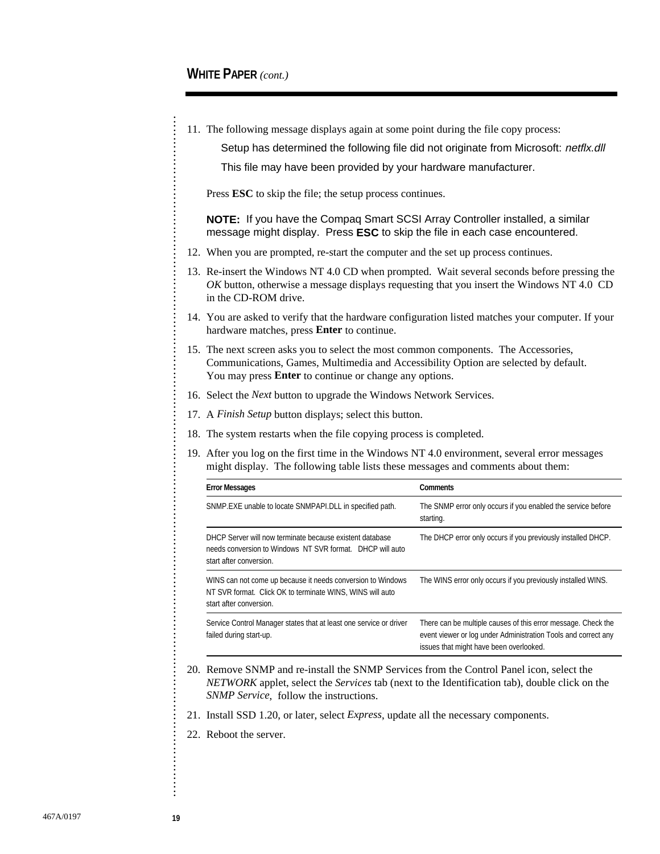11. The following message displays again at some point during the file copy process:

Setup has determined the following file did not originate from Microsoft: netflx.dll

This file may have been provided by your hardware manufacturer.

Press **ESC** to skip the file; the setup process continues.

**NOTE:** If you have the Compaq Smart SCSI Array Controller installed, a similar message might display. Press **ESC** to skip the file in each case encountered.

- 12. When you are prompted, re-start the computer and the set up process continues.
- 13. Re-insert the Windows NT 4.0 CD when prompted. Wait several seconds before pressing the *OK* button, otherwise a message displays requesting that you insert the Windows NT 4.0 CD in the CD-ROM drive.
- 14. You are asked to verify that the hardware configuration listed matches your computer. If your hardware matches, press **Enter** to continue.
- 15. The next screen asks you to select the most common components. The Accessories, Communications, Games, Multimedia and Accessibility Option are selected by default. You may press **Enter** to continue or change any options.
- 16. Select the *Next* button to upgrade the Windows Network Services.
- 17. A *Finish Setup* button displays; select this button.
- 18. The system restarts when the file copying process is completed.
- 19. After you log on the first time in the Windows NT 4.0 environment, several error messages might display. The following table lists these messages and comments about them:

| <b>Error Messages</b>                                                                                                                               | <b>Comments</b>                                                                                                                                                            |
|-----------------------------------------------------------------------------------------------------------------------------------------------------|----------------------------------------------------------------------------------------------------------------------------------------------------------------------------|
| SNMP.EXE unable to locate SNMPAPI.DLL in specified path.                                                                                            | The SNMP error only occurs if you enabled the service before<br>starting.                                                                                                  |
| DHCP Server will now terminate because existent database<br>needs conversion to Windows NT SVR format. DHCP will auto<br>start after conversion.    | The DHCP error only occurs if you previously installed DHCP.                                                                                                               |
| WINS can not come up because it needs conversion to Windows<br>NT SVR format. Click OK to terminate WINS, WINS will auto<br>start after conversion. | The WINS error only occurs if you previously installed WINS.                                                                                                               |
| Service Control Manager states that at least one service or driver<br>failed during start-up.                                                       | There can be multiple causes of this error message. Check the<br>event viewer or log under Administration Tools and correct any<br>issues that might have been overlooked. |

- 20. Remove SNMP and re-install the SNMP Services from the Control Panel icon, select the *NETWORK* applet, select the *Services* tab (next to the Identification tab), double click on the *SNMP Service*, follow the instructions.
- 21. Install SSD 1.20, or later, select *Express*, update all the necessary components.
- 22. Reboot the server.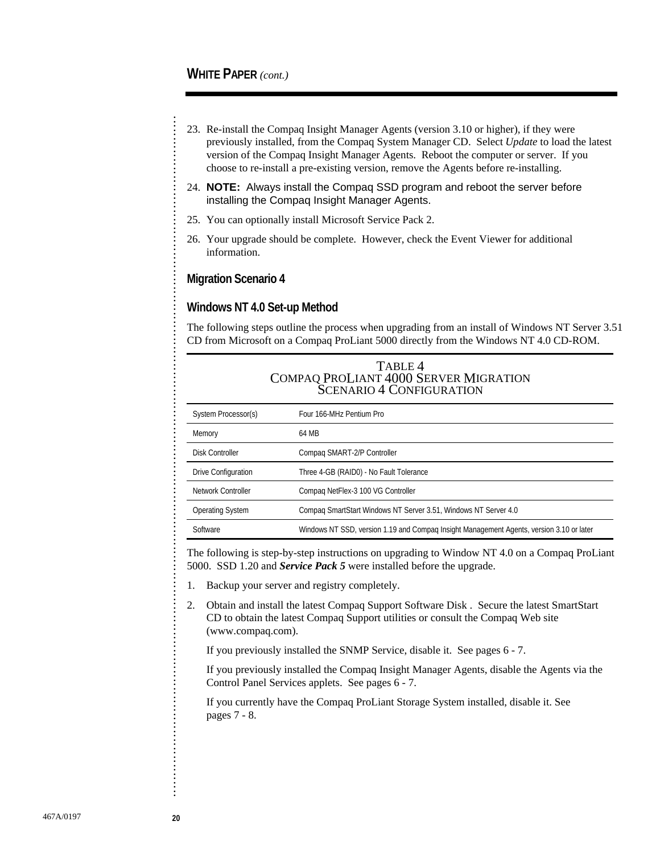- 23. Re-install the Compaq Insight Manager Agents (version 3.10 or higher), if they were previously installed, from the Compaq System Manager CD. Select *Update* to load the latest version of the Compaq Insight Manager Agents. Reboot the computer or server. If you choose to re-install a pre-existing version, remove the Agents before re-installing.
- 24. **NOTE:** Always install the Compaq SSD program and reboot the server before installing the Compaq Insight Manager Agents.
- 25. You can optionally install Microsoft Service Pack 2.
- 26. Your upgrade should be complete. However, check the Event Viewer for additional information.

#### **Migration Scenario 4**

#### **Windows NT 4.0 Set-up Method**

The following steps outline the process when upgrading from an install of Windows NT Server 3.51 CD from Microsoft on a Compaq ProLiant 5000 directly from the Windows NT 4.0 CD-ROM.

| TABLE 4                               |
|---------------------------------------|
| COMPAQ PROLIANT 4000 SERVER MIGRATION |
| <b>SCENARIO 4 CONFIGURATION</b>       |

| System Processor(s)        | Four 166-MHz Pentium Pro                                                                 |
|----------------------------|------------------------------------------------------------------------------------------|
| Memory                     | 64 MB                                                                                    |
| Disk Controller            | Compag SMART-2/P Controller                                                              |
| <b>Drive Configuration</b> | Three 4-GB (RAID0) - No Fault Tolerance                                                  |
| Network Controller         | Compaq NetFlex-3 100 VG Controller                                                       |
| <b>Operating System</b>    | Compaq SmartStart Windows NT Server 3.51, Windows NT Server 4.0                          |
| Software                   | Windows NT SSD, version 1.19 and Compaq Insight Management Agents, version 3.10 or later |

The following is step-by-step instructions on upgrading to Window NT 4.0 on a Compaq ProLiant 5000. SSD 1.20 and *Service Pack 5* were installed before the upgrade.

- 1. Backup your server and registry completely.
- 2. Obtain and install the latest Compaq Support Software Disk . Secure the latest SmartStart CD to obtain the latest Compaq Support utilities or consult the Compaq Web site (www.compaq.com).

If you previously installed the SNMP Service, disable it. See pages 6 - 7.

 If you previously installed the Compaq Insight Manager Agents, disable the Agents via the Control Panel Services applets. See pages 6 - 7.

 If you currently have the Compaq ProLiant Storage System installed, disable it. See pages 7 - 8.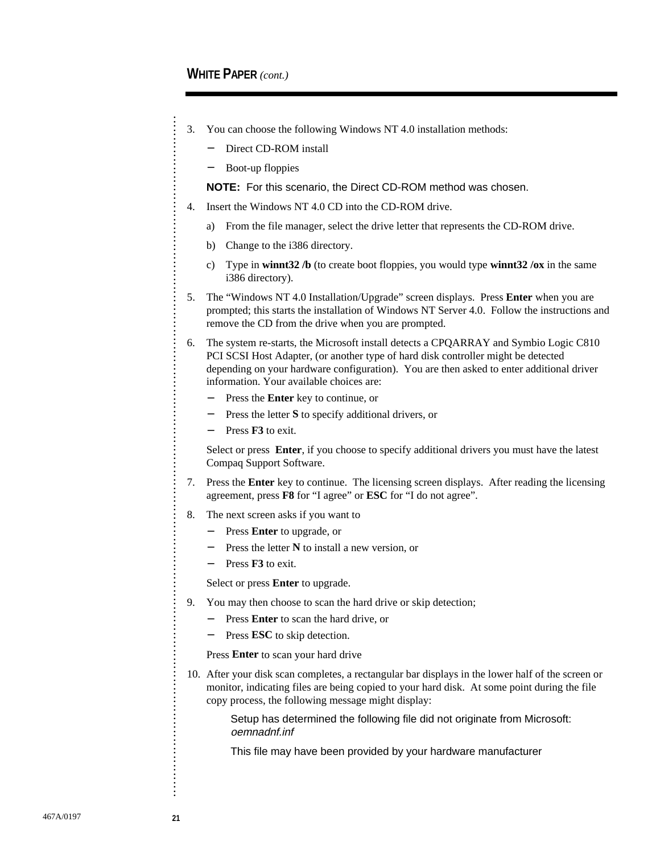. . . . . . . . . . . . . . . . . . . . . . . . . . . . . . . . . . . . . . . . . . . . . . . . . . . . . . . . . . . . . . . . . . . . . . . . . . . . . . . . . . . . . . . . . . . . . . . . . . . . . . . . . . . . . . . . . . . . . . . . . . . . . . . . . . . . . . . . . . . . . . . . . . . . . . . . . . . . . . . .

- 3. You can choose the following Windows NT 4.0 installation methods:
	- Direct CD-ROM install
	- Boot-up floppies

**NOTE:** For this scenario, the Direct CD-ROM method was chosen.

- 4. Insert the Windows NT 4.0 CD into the CD-ROM drive.
	- a) From the file manager, select the drive letter that represents the CD-ROM drive.
	- b) Change to the i386 directory.
	- c) Type in **winnt32 /b** (to create boot floppies, you would type **winnt32 /ox** in the same i386 directory).
- 5. The "Windows NT 4.0 Installation/Upgrade" screen displays. Press **Enter** when you are prompted; this starts the installation of Windows NT Server 4.0. Follow the instructions and remove the CD from the drive when you are prompted.
- 6. The system re-starts, the Microsoft install detects a CPQARRAY and Symbio Logic C810 PCI SCSI Host Adapter, (or another type of hard disk controller might be detected depending on your hardware configuration). You are then asked to enter additional driver information. Your available choices are:
	- − Press the **Enter** key to continue, or
	- − Press the letter **S** to specify additional drivers, or
	- Press **F3** to exit.

 Select or press **Enter**, if you choose to specify additional drivers you must have the latest Compaq Support Software.

- 7. Press the **Enter** key to continue. The licensing screen displays. After reading the licensing agreement, press **F8** for "I agree" or **ESC** for "I do not agree".
- 8. The next screen asks if you want to
	- − Press **Enter** to upgrade, or
	- − Press the letter **N** to install a new version, or
	- − Press **F3** to exit.

Select or press **Enter** to upgrade.

- 9. You may then choose to scan the hard drive or skip detection;
	- − Press **Enter** to scan the hard drive, or
		- Press **ESC** to skip detection.

Press **Enter** to scan your hard drive

10. After your disk scan completes, a rectangular bar displays in the lower half of the screen or monitor, indicating files are being copied to your hard disk. At some point during the file copy process, the following message might display:

> Setup has determined the following file did not originate from Microsoft: oemnadnf.inf

This file may have been provided by your hardware manufacturer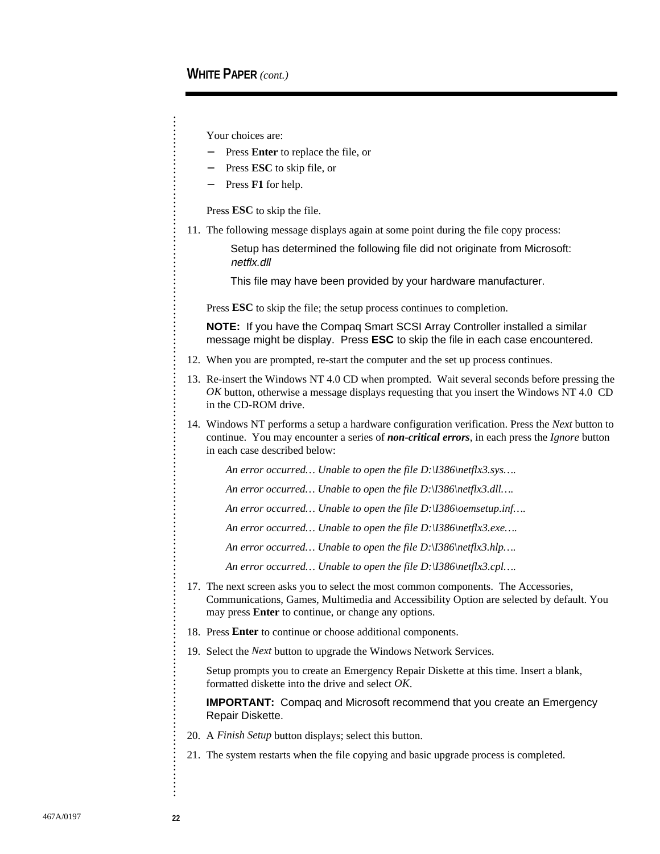Your choices are:

- − Press **Enter** to replace the file, or
- − Press **ESC** to skip file, or
- Press **F1** for help.

Press **ESC** to skip the file.

11. The following message displays again at some point during the file copy process:

Setup has determined the following file did not originate from Microsoft: netflx.dll

This file may have been provided by your hardware manufacturer.

Press **ESC** to skip the file; the setup process continues to completion.

**NOTE:** If you have the Compaq Smart SCSI Array Controller installed a similar message might be display. Press **ESC** to skip the file in each case encountered.

- 12. When you are prompted, re-start the computer and the set up process continues.
- 13. Re-insert the Windows NT 4.0 CD when prompted. Wait several seconds before pressing the *OK* button, otherwise a message displays requesting that you insert the Windows NT 4.0 CD in the CD-ROM drive.
- 14. Windows NT performs a setup a hardware configuration verification. Press the *Next* button to continue. You may encounter a series of *non-critical errors*, in each press the *Ignore* button in each case described below:

*An error occurred… Unable to open the file D:\I386\netflx3.sys….*

*An error occurred… Unable to open the file D:\I386\netflx3.dll….*

*An error occurred… Unable to open the file D:\I386\oemsetup.inf….*

*An error occurred… Unable to open the file D:\I386\netflx3.exe….*

*An error occurred… Unable to open the file D:\I386\netflx3.hlp….*

*An error occurred… Unable to open the file D:\I386\netflx3.cpl….*

- 17. The next screen asks you to select the most common components. The Accessories, Communications, Games, Multimedia and Accessibility Option are selected by default. You may press **Enter** to continue, or change any options.
- 18. Press **Enter** to continue or choose additional components.
- 19. Select the *Next* button to upgrade the Windows Network Services.

 Setup prompts you to create an Emergency Repair Diskette at this time. Insert a blank, formatted diskette into the drive and select *OK*.

**IMPORTANT:** Compaq and Microsoft recommend that you create an Emergency Repair Diskette.

- 20. A *Finish Setup* button displays; select this button.
- 21. The system restarts when the file copying and basic upgrade process is completed.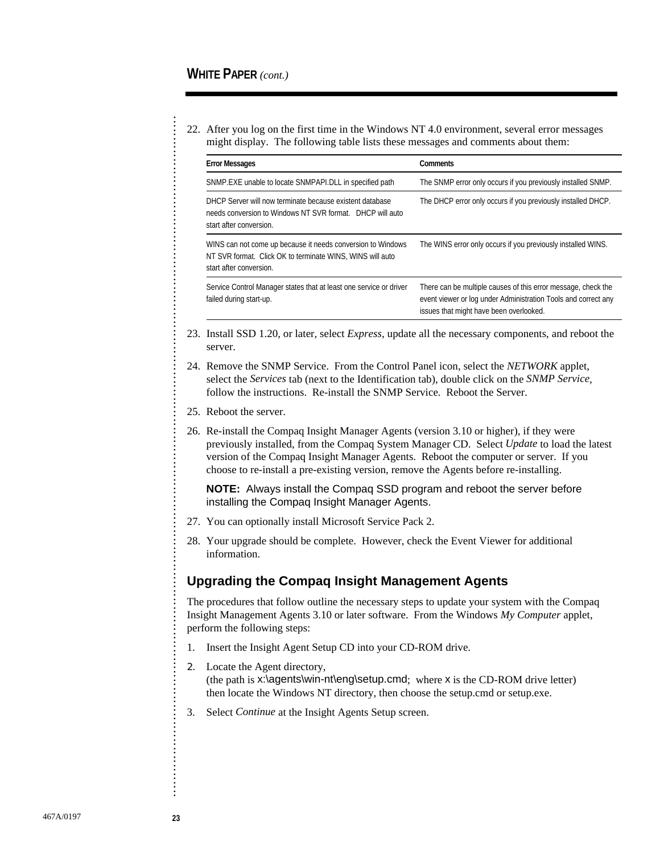. . . . . . . . . . . . . . . . . . . . . . . . . . . . . . . . . . . . . . . . . . . . . . . . . . . . . . . . . . . . . . . . . . . . . . . . . . . . . . . . . . . . . . . . . . . . . . . . . . . . . . . . . . . . . . . . . . . . . . . . . . . . . . . . . . . . . . . . . . . . . . . . . . . . . . . . . . . . . . . .

22. After you log on the first time in the Windows NT 4.0 environment, several error messages might display. The following table lists these messages and comments about them:

| <b>Error Messages</b>                                                                                                                               | <b>Comments</b>                                                                                                                                                            |
|-----------------------------------------------------------------------------------------------------------------------------------------------------|----------------------------------------------------------------------------------------------------------------------------------------------------------------------------|
| SNMP.EXE unable to locate SNMPAPI.DLL in specified path                                                                                             | The SNMP error only occurs if you previously installed SNMP.                                                                                                               |
| DHCP Server will now terminate because existent database<br>needs conversion to Windows NT SVR format. DHCP will auto<br>start after conversion.    | The DHCP error only occurs if you previously installed DHCP.                                                                                                               |
| WINS can not come up because it needs conversion to Windows<br>NT SVR format. Click OK to terminate WINS, WINS will auto<br>start after conversion. | The WINS error only occurs if you previously installed WINS.                                                                                                               |
| Service Control Manager states that at least one service or driver<br>failed during start-up.                                                       | There can be multiple causes of this error message, check the<br>event viewer or log under Administration Tools and correct any<br>issues that might have been overlooked. |

- 23. Install SSD 1.20, or later, select *Express*, update all the necessary components, and reboot the server.
- 24. Remove the SNMP Service. From the Control Panel icon, select the *NETWORK* applet, select the *Services* tab (next to the Identification tab), double click on the *SNMP Service*, follow the instructions. Re-install the SNMP Service. Reboot the Server.
- 25. Reboot the server.
- 26. Re-install the Compaq Insight Manager Agents (version 3.10 or higher), if they were previously installed, from the Compaq System Manager CD. Select *Update* to load the latest version of the Compaq Insight Manager Agents. Reboot the computer or server. If you choose to re-install a pre-existing version, remove the Agents before re-installing.

**NOTE:** Always install the Compaq SSD program and reboot the server before installing the Compaq Insight Manager Agents.

- 27. You can optionally install Microsoft Service Pack 2.
- 28. Your upgrade should be complete. However, check the Event Viewer for additional information.

#### **Upgrading the Compaq Insight Management Agents**

The procedures that follow outline the necessary steps to update your system with the Compaq Insight Management Agents 3.10 or later software. From the Windows *My Computer* applet, perform the following steps:

- 1. Insert the Insight Agent Setup CD into your CD-ROM drive.
- 2. Locate the Agent directory, (the path is x:\agents\win-nt\eng\setup.cmd; where x is the CD-ROM drive letter) then locate the Windows NT directory, then choose the setup.cmd or setup.exe.
- 3. Select *Continue* at the Insight Agents Setup screen.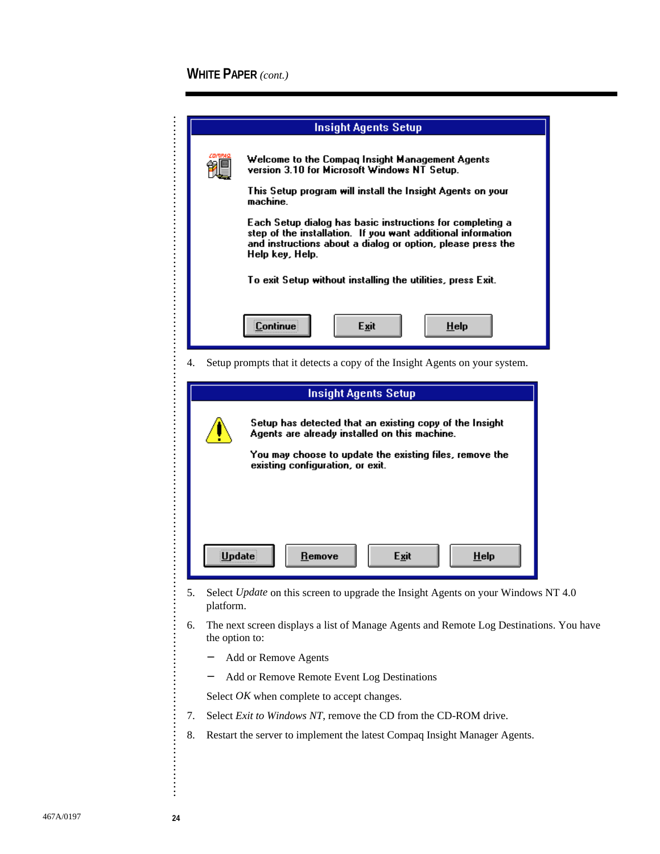|    | <b>Insight Agents Setup</b>                                                                                                                                                                                 |  |  |  |
|----|-------------------------------------------------------------------------------------------------------------------------------------------------------------------------------------------------------------|--|--|--|
|    | Welcome to the Compag Insight Management Agents<br>version 3.10 for Microsoft Windows NT Setup.                                                                                                             |  |  |  |
|    | This Setup program will install the Insight Agents on your<br>machine.                                                                                                                                      |  |  |  |
|    | Each Setup dialog has basic instructions for completing a<br>step of the installation. If you want additional information<br>and instructions about a dialog or option, please press the<br>Help key, Help. |  |  |  |
|    | To exit Setup without installing the utilities, press Exit.                                                                                                                                                 |  |  |  |
|    | <b>Continue</b><br>Exit<br>$He$ lp                                                                                                                                                                          |  |  |  |
| 4. | Setup prompts that it detects a copy of the Insight Agents on your system.                                                                                                                                  |  |  |  |
|    | <b>Insight Agents Setup</b>                                                                                                                                                                                 |  |  |  |
|    | Setup has detected that an existing copy of the Insight<br>Agents are already installed on this machine.<br>You may choose to update the existing files, remove the<br>existing configuration, or exit.     |  |  |  |
|    | Update<br>Exit<br>$He$ lp<br>Remove                                                                                                                                                                         |  |  |  |
| 5. | Select Update on this screen to upgrade the Insight Agents on your Windows NT 4.0<br>platform.                                                                                                              |  |  |  |
| 6. | The next screen displays a list of Manage Agents and Remote Log Destinations. You have<br>the option to:                                                                                                    |  |  |  |
|    | Add or Remove Agents                                                                                                                                                                                        |  |  |  |
|    | Add or Remove Remote Event Log Destinations<br>-                                                                                                                                                            |  |  |  |
|    | Select <i>OK</i> when complete to accept changes.                                                                                                                                                           |  |  |  |
| 7. | Select Exit to Windows NT, remove the CD from the CD-ROM drive.                                                                                                                                             |  |  |  |
| 8. | Restart the server to implement the latest Compaq Insight Manager Agents.                                                                                                                                   |  |  |  |
|    |                                                                                                                                                                                                             |  |  |  |

. . . . . . . . . . . . . . . . . . . . . . . . . . . . . . . . . . . . . . . . . . . . . . . . . . . . . . . . . . . . . . . . . . . . . . . . . . . . . . . . . . . . . . . . . . . . . . . . . . . . . . . . . . . . . . . . . . . . . . . . . . . . . . . . . . . . . . . . . . . . . . . . . . . . . . . . . . . . . . . .